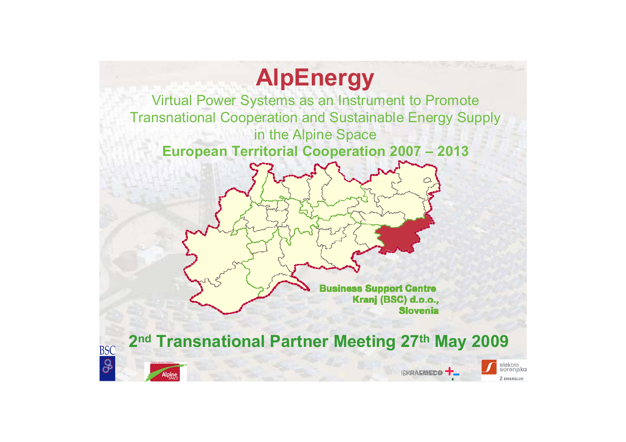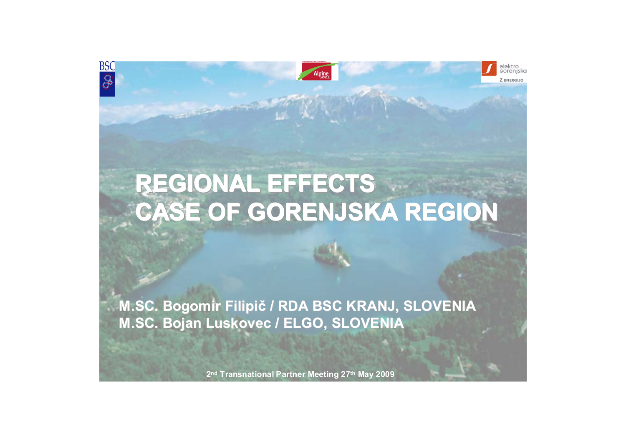

elektro<br>Gorenjska

Z ENERGIJO

**BSC** 

S

# **REGIONAL EFFECTS REGIONAL EFFECTS REGIONAL EFFECTS CASE OF GORENJSKA REGION CASE OF GORENJSKA REGION CASE OF GORENJSKA REGION**

M.SC. Bogomir Filipič / RDA BSC KRANJ, SLOVENIA **M.SC. Bojan Luskovec / ELGO, SLOVENIA**

**2nd Transnational Partner Meeting 27th May 2009**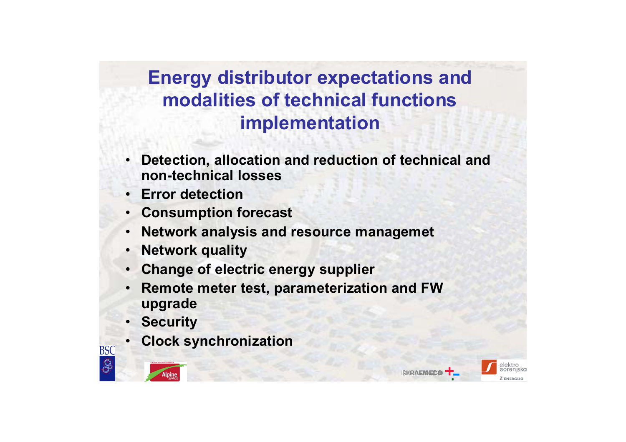### **Energy distributor expectations and modalities of technical functions implementation**

- • **Detection, allocation and reduction of technical and non-technical losses**
- •**Error detection**
- •**Consumption forecast**
- •**Network analysis and resource managemet**
- •**Network quality**
- •**Change of electric energy supplier**
- • **Remote meter test, parameterization and FW upgrade**
- •**Security**
- •**Clock synchronization**



**BSC** 

O.

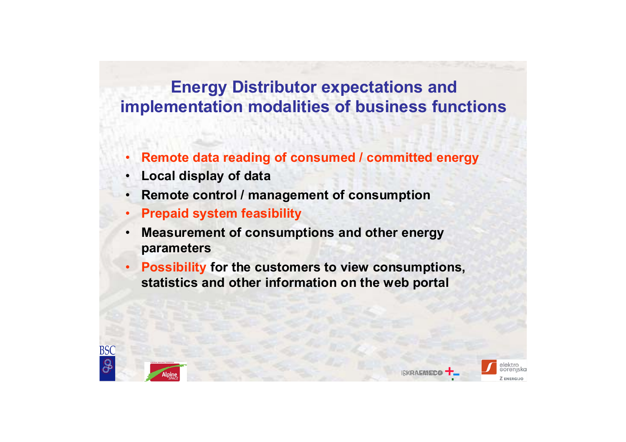### **Energy Distributor expectations and implementation modalities of business functions**

- •**Remote data reading of consumed / committed energy**
- •**Local display of data**
- •**Remote control / management of consumption**
- •**Prepaid system feasibility**
- • **Measurement of consumptions and other energy parameters**
- • **Possibility for the customers to view consumptions, statistics and other information on the web portal**





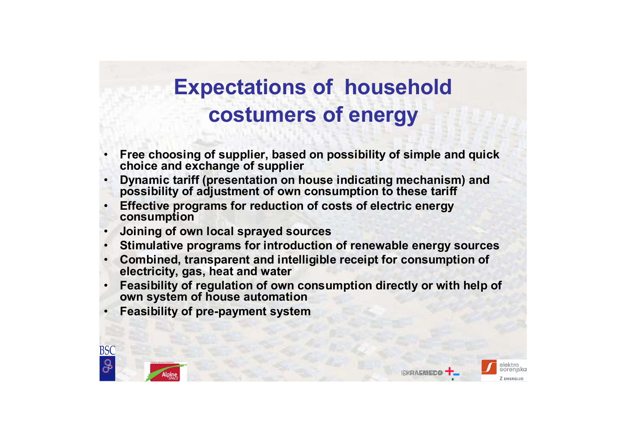# **Expectations of household costumers of energy**

- • **Free choosing of supplier, based on possibility of simple and quick choice and exchange of supplier**
- • **Dynamic tariff (presentation on house indicating mechanism) and possibility of adjustment of own consumption to these tariff**
- • **Effective programs for reduction of costs of electric energy consumption**
- •**Joining of own local sprayed sources**
- •**Stimulative programs for introduction of renewable energy sources**
- • **Combined, transparent and intelligible receipt for consumption of electricity, gas, heat and water**
- • **Feasibility of regulation of own consumption directly or with help of own system of house automation**
- •**Feasibility of pre-payment system**





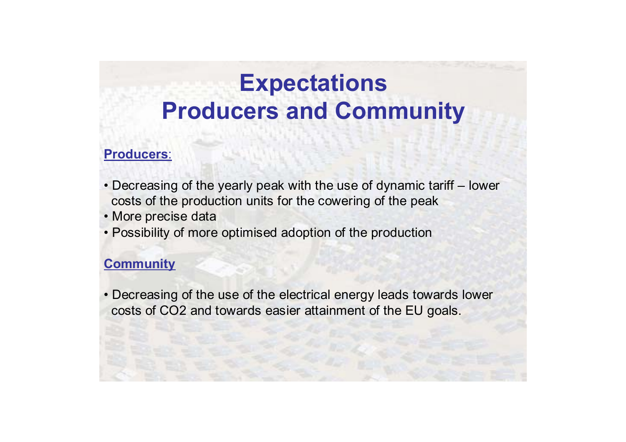# **Expectations Producers and Community**

#### **Producers**:

- Decreasing of the yearly peak with the use of dynamic tariff lower costs of the production units for the cowering of the peak
- More precise data
- Possibility of more optimised adoption of the production

#### **Community**

• Decreasing of the use of the electrical energy leads towards lower costs of CO2 and towards easier attainment of the EU goals.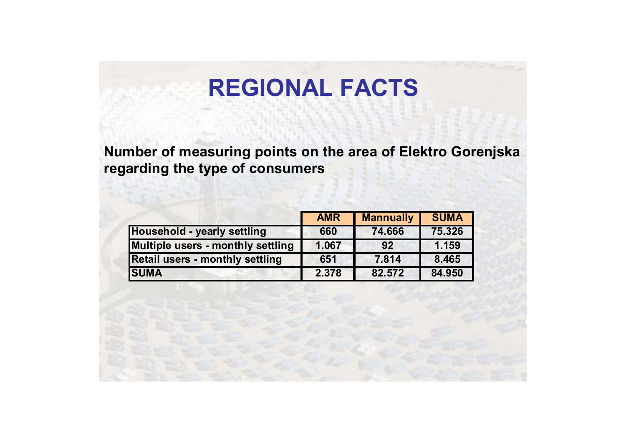## **REGIONAL FACTS**

**Number of measuring points on the area of Elektro Gorenjska regarding the type of consumers**

|                                        | <b>AMR</b> | <b>Mannually</b> | <b>SUMA</b> |
|----------------------------------------|------------|------------------|-------------|
| Household - yearly settling            | 660        | 74.666           | 75.326      |
| Multiple users - monthly settling      | 1.067      | 92               | 1.159       |
| <b>Retail users - monthly settling</b> | 651        | 7.814            | 8.465       |
| <b>SUMA</b>                            | 2.378      | 82.572           | 84.950      |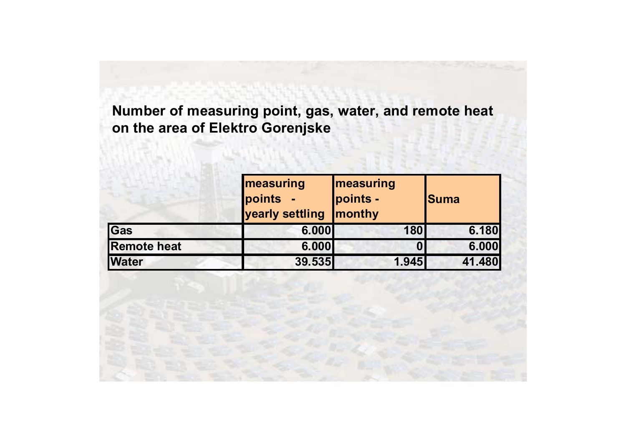#### **Number of measuring point, gas, water, and remote heat on the area of Elektro Gorenjske**

|                    | <b>Imeasuring</b><br><b>points</b><br>yearly settling | <b>Imeasuring</b><br>points -<br><b>Imonthy</b> | <b>Suma</b> |  |
|--------------------|-------------------------------------------------------|-------------------------------------------------|-------------|--|
| Gas                | 6.000                                                 | 180                                             | 6.180       |  |
| <b>Remote heat</b> | 6.000                                                 |                                                 | 6.000       |  |
| <b>Water</b>       | 39.535                                                | 1.945                                           | 41.480      |  |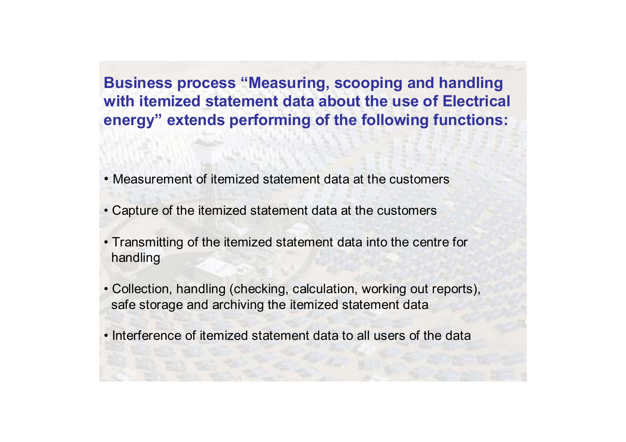**Business process "Measuring, scooping and handling with itemized statement data about the use of Electrical energy" extends performing of the following functions:**

- Measurement of itemized statement data at the customers
- Capture of the itemized statement data at the customers
- Transmitting of the itemized statement data into the centre for handling
- Collection, handling (checking, calculation, working out reports), safe storage and archiving the itemized statement data
- Interference of itemized statement data to all users of the data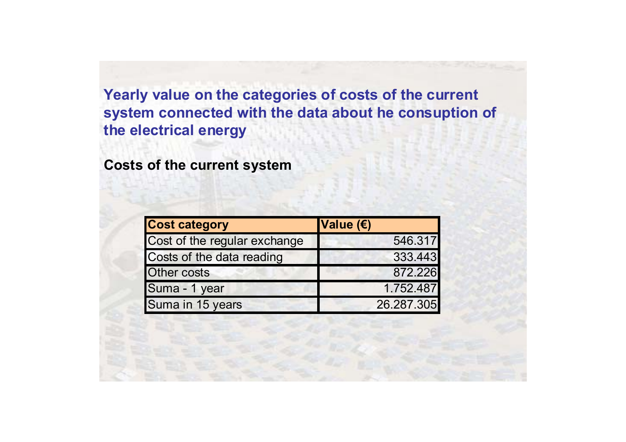#### **Yearly value on the categories of costs of the current system connected with the data about he consuption of the electrical energy**

**Costs of the current system**

| <b>Cost category</b>         | Value $(E)$ |
|------------------------------|-------------|
| Cost of the regular exchange | 546.317     |
| Costs of the data reading    | 333.443     |
| <b>Other costs</b>           | 872.226     |
| Suma - 1 year                | 1.752.487   |
| Suma in 15 years             | 26.287.305  |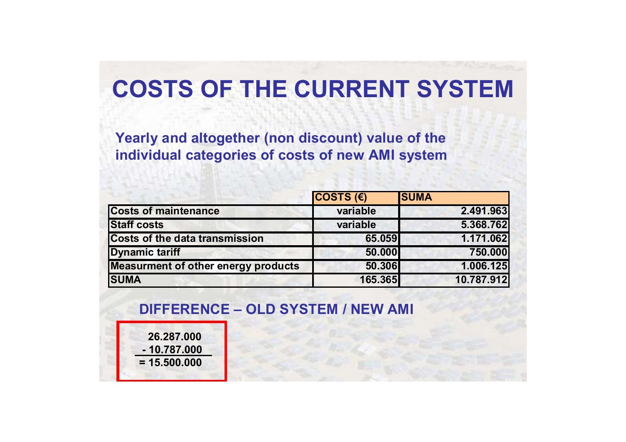## **COSTS OF THE CURRENT SYSTEM**

**Yearly and altogether (non discount) value of the individual categories of costs of new AMI system**

|                                            | COSTS $(E)$ | <b>SUMA</b> |
|--------------------------------------------|-------------|-------------|
| <b>Costs of maintenance</b>                | variable    | 2.491.963   |
| <b>Staff costs</b>                         | variable    | 5.368.762   |
| <b>Costs of the data transmission</b>      | 65.059      | 1.171.062   |
| <b>Dynamic tariff</b>                      | 50.000      | 750.000     |
| <b>Measurment of other energy products</b> | 50.306      | 1.006.125   |
| <b>ISUMA</b>                               | 165.365     | 10.787.912  |

#### **DIFFERENCE – OLD SYSTEM / NEW AMI**

**26.287.000- 10.787.000= 15.500.000**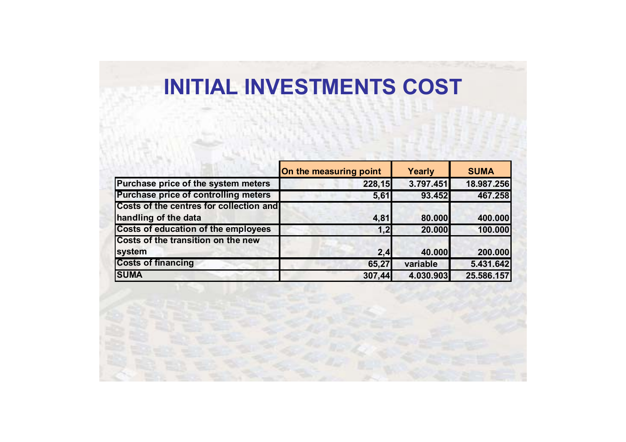### **INITIAL INVESTMENTS COST**

|                                             | On the measuring point | Yearly    | <b>SUMA</b> |
|---------------------------------------------|------------------------|-----------|-------------|
| Purchase price of the system meters         | 228,15                 | 3.797.451 | 18.987.256  |
| <b>Purchase price of controlling meters</b> | 5,61                   | 93.452    | 467.258     |
| Costs of the centres for collection and     |                        |           |             |
| handling of the data                        | 4,81                   | 80.000    | 400.000     |
| <b>Costs of education of the employees</b>  | 1,2                    | 20.000    | 100.000     |
| Costs of the transition on the new          |                        |           |             |
| system                                      | 2,4                    | 40.000    | 200.000     |
| <b>Costs of financing</b>                   | 65,27                  | variable  | 5.431.642   |
| <b>SUMA</b>                                 | 307,44                 | 4.030.903 | 25.586.157  |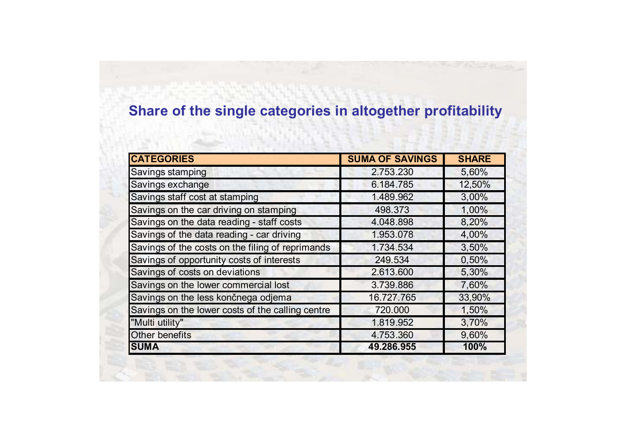### **Share of the single categories in altogether profitability**

| <b>CATEGORIES</b>                                | <b>SUMA OF SAVINGS</b> | <b>SHARE</b> |
|--------------------------------------------------|------------------------|--------------|
| Savings stamping                                 | 2.753.230              | 5,60%        |
| Savings exchange                                 | 6.184.785              | 12,50%       |
| Savings staff cost at stamping                   | 1.489.962              | 3,00%        |
| Savings on the car driving on stamping           | 498.373                | 1,00%        |
| Savings on the data reading - staff costs        | 4.048.898              | 8,20%        |
| Savings of the data reading - car driving        | 1.953.078              | 4,00%        |
| Savings of the costs on the filing of reprimands | 1.734.534              | 3,50%        |
| Savings of opportunity costs of interests        | 249.534                | 0,50%        |
| Savings of costs on deviations                   | 2.613.600              | 5,30%        |
| Savings on the lower commercial lost             | 3.739.886              | 7,60%        |
| Savings on the less končnega odjema              | 16.727.765             | 33,90%       |
| Savings on the lower costs of the calling centre | 720.000                | 1,50%        |
| "Multi utility"                                  | 1.819.952              | 3,70%        |
| <b>Other benefits</b>                            | 4.753.360              | 9,60%        |
| <b>SUMA</b>                                      | 49.286.955             | 100%         |